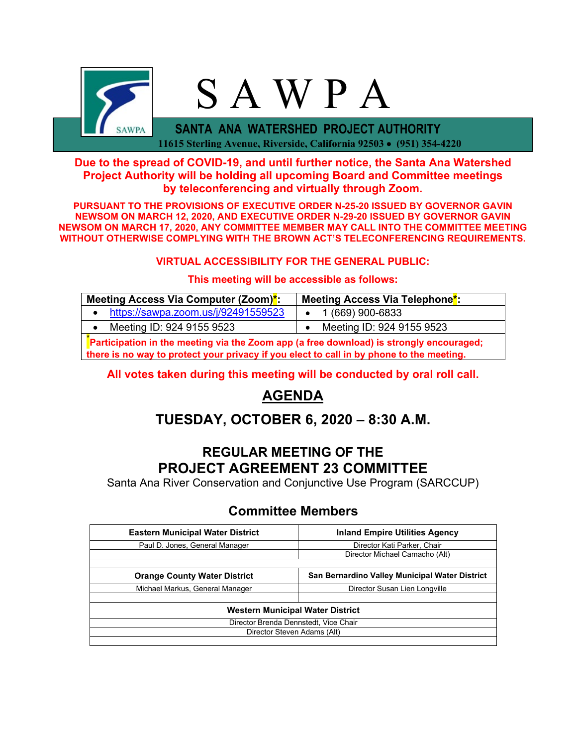

### **Due to the spread of COVID-19, and until further notice, the Santa Ana Watershed Project Authority will be holding all upcoming Board and Committee meetings by teleconferencing and virtually through Zoom.**

**PURSUANT TO THE PROVISIONS OF EXECUTIVE ORDER N-25-20 ISSUED BY GOVERNOR GAVIN NEWSOM ON MARCH 12, 2020, AND EXECUTIVE ORDER N-29-20 ISSUED BY GOVERNOR GAVIN NEWSOM ON MARCH 17, 2020, ANY COMMITTEE MEMBER MAY CALL INTO THE COMMITTEE MEETING WITHOUT OTHERWISE COMPLYING WITH THE BROWN ACT'S TELECONFERENCING REQUIREMENTS.**

#### **VIRTUAL ACCESSIBILITY FOR THE GENERAL PUBLIC:**

#### **This meeting will be accessible as follows:**

| Meeting Access Via Computer (Zoom)*:                                                    | Meeting Access Via Telephone <sup>*</sup> : |  |  |  |
|-----------------------------------------------------------------------------------------|---------------------------------------------|--|--|--|
| https://sawpa.zoom.us/j/92491559523                                                     | $\bullet$ 1 (669) 900-6833                  |  |  |  |
| Meeting ID: 924 9155 9523                                                               | Meeting ID: 924 9155 9523                   |  |  |  |
| Participation in the meeting via the Zoom app (a free download) is strongly encouraged; |                                             |  |  |  |

**there is no way to protect your privacy if you elect to call in by phone to the meeting.**

#### **All votes taken during this meeting will be conducted by oral roll call.**

# **AGENDA**

# **TUESDAY, OCTOBER 6, 2020 – 8:30 A.M.**

## **REGULAR MEETING OF THE PROJECT AGREEMENT 23 COMMITTEE**

Santa Ana River Conservation and Conjunctive Use Program (SARCCUP)

## **Committee Members**

| <b>Eastern Municipal Water District</b> | <b>Inland Empire Utilities Agency</b>          |  |  |  |
|-----------------------------------------|------------------------------------------------|--|--|--|
| Paul D. Jones, General Manager          | Director Kati Parker, Chair                    |  |  |  |
|                                         | Director Michael Camacho (Alt)                 |  |  |  |
|                                         |                                                |  |  |  |
| <b>Orange County Water District</b>     | San Bernardino Valley Municipal Water District |  |  |  |
| Michael Markus, General Manager         | Director Susan Lien Longville                  |  |  |  |
|                                         |                                                |  |  |  |
| Western Municipal Water District        |                                                |  |  |  |
| Director Brenda Dennstedt, Vice Chair   |                                                |  |  |  |
| Director Steven Adams (Alt)             |                                                |  |  |  |
|                                         |                                                |  |  |  |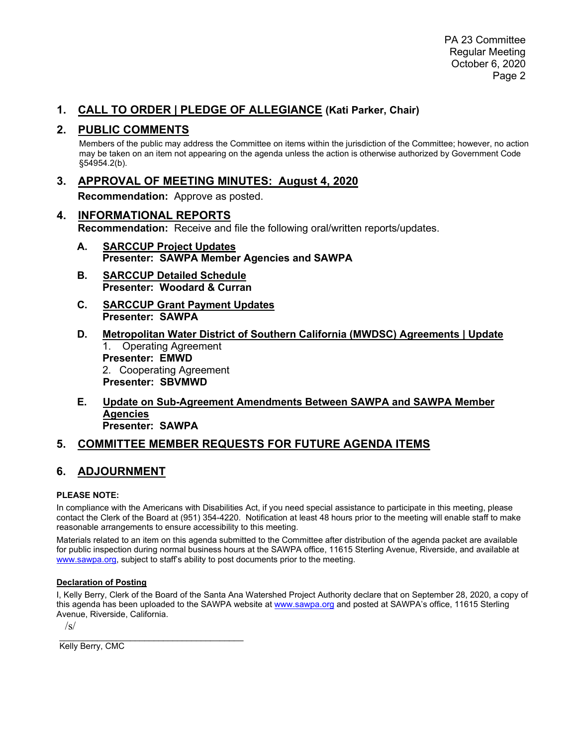### **1. CALL TO ORDER | PLEDGE OF ALLEGIANCE (Kati Parker, Chair)**

#### **2. PUBLIC COMMENTS**

Members of the public may address the Committee on items within the jurisdiction of the Committee; however, no action may be taken on an item not appearing on the agenda unless the action is otherwise authorized by Government Code §54954.2(b).

**3. APPROVAL OF MEETING MINUTES: August 4, 2020**

**Recommendation:** Approve as posted.

- **4. INFORMATIONAL REPORTS Recommendation:** Receive and file the following oral/written reports/updates.
	- **A. SARCCUP Project Updates Presenter: SAWPA Member Agencies and SAWPA**
	- **B. SARCCUP Detailed Schedule Presenter: Woodard & Curran**
	- **C. SARCCUP Grant Payment Updates Presenter: SAWPA**
	- **D. Metropolitan Water District of Southern California (MWDSC) Agreements | Update** 1. Operating Agreement **Presenter: EMWD** 2. Cooperating Agreement **Presenter: SBVMWD**
	- **E. Update on Sub-Agreement Amendments Between SAWPA and SAWPA Member Agencies Presenter: SAWPA**

### **5. COMMITTEE MEMBER REQUESTS FOR FUTURE AGENDA ITEMS**

### **6. ADJOURNMENT**

#### **PLEASE NOTE:**

In compliance with the Americans with Disabilities Act, if you need special assistance to participate in this meeting, please contact the Clerk of the Board at (951) 354-4220. Notification at least 48 hours prior to the meeting will enable staff to make reasonable arrangements to ensure accessibility to this meeting.

Materials related to an item on this agenda submitted to the Committee after distribution of the agenda packet are available for public inspection during normal business hours at the SAWPA office, 11615 Sterling Avenue, Riverside, and available at [www.sawpa.org,](http://www.sawpa.org/) subject to staff's ability to post documents prior to the meeting.

#### **Declaration of Posting**

I, Kelly Berry, Clerk of the Board of the Santa Ana Watershed Project Authority declare that on September 28, 2020, a copy of this agenda has been uploaded to the SAWPA website at [www.sawpa.org](http://www.sawpa.org/) and posted at SAWPA's office, 11615 Sterling Avenue, Riverside, California.

 $\sqrt{s}$ 

\_\_\_\_\_\_\_\_\_\_\_\_\_\_\_\_\_\_\_\_\_\_\_\_\_\_\_\_\_\_\_\_\_\_\_\_\_\_\_ Kelly Berry, CMC